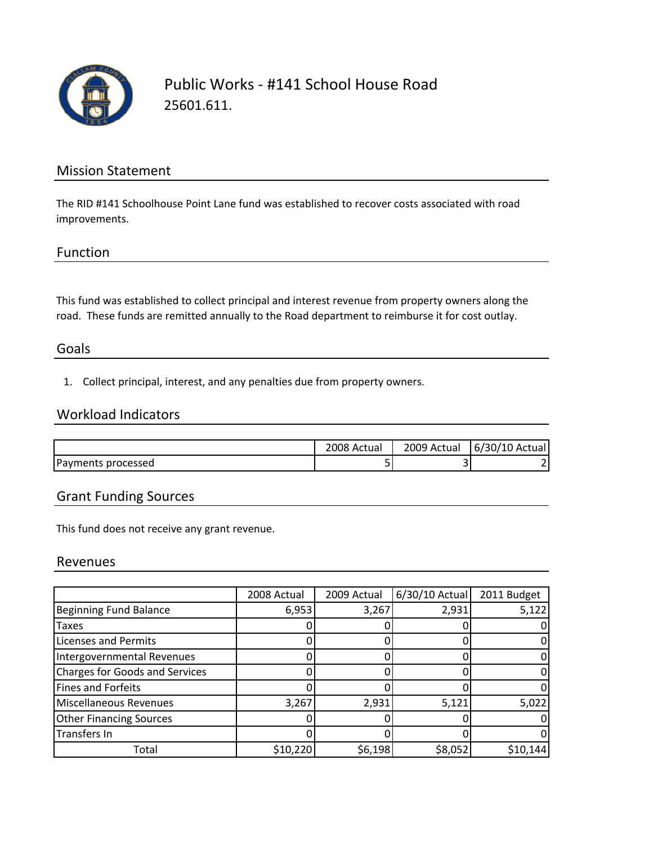

## Public Works ‐ #141 School House Road 25601.611.

### Mission Statement

The RID #141 Schoolhouse Point Lane fund was established to recover costs associated with road improvements.

### Function

This fund was established to collect principal and interest revenue from property owners along the road. These funds are remitted annually to the Road department to reimburse it for cost outlay.

### Goals

1. Collect principal, interest, and any penalties due from property owners.

## Workload Indicators

|                    | 2008 Actual | 2009<br>Actual | 6/30/10 Actual |
|--------------------|-------------|----------------|----------------|
| Payments processed | -           |                |                |

## Grant Funding Sources

This fund does not receive any grant revenue.

#### Revenues

|                                       | 2008 Actual | 2009 Actual | 6/30/10 Actual | 2011 Budget |
|---------------------------------------|-------------|-------------|----------------|-------------|
| <b>Beginning Fund Balance</b>         | 6,953       | 3,267       | 2,931          | 5,122       |
| <b>Taxes</b>                          |             |             |                |             |
| <b>Licenses and Permits</b>           |             |             |                |             |
| Intergovernmental Revenues            |             |             |                |             |
| <b>Charges for Goods and Services</b> |             |             |                |             |
| <b>Fines and Forfeits</b>             |             |             |                |             |
| <b>Miscellaneous Revenues</b>         | 3,267       | 2,931       | 5,121          | 5,022       |
| <b>Other Financing Sources</b>        |             |             |                |             |
| Transfers In                          |             |             |                |             |
| Total                                 | \$10,220    | \$6,198     | \$8,052        | \$10,144    |